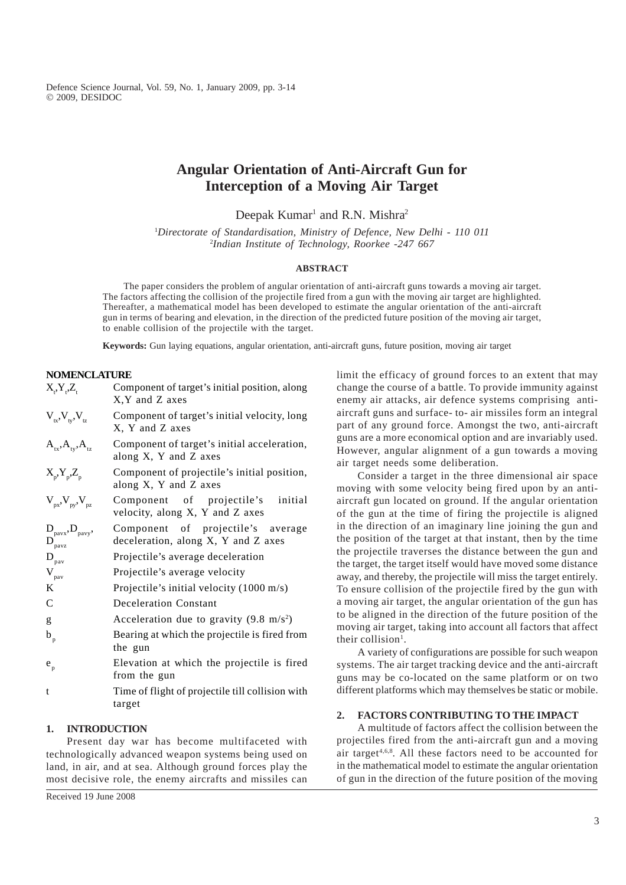Defence Science Journal, Vol. 59, No. 1, January 2009, pp. 3-14 Ó 2009, DESIDOC

# **Angular Orientation of Anti-Aircraft Gun for Interception of a Moving Air Target**

Deepak Kumar<sup>1</sup> and R.N. Mishra<sup>2</sup>

1 *Directorate of Standardisation, Ministry of Defence, New Delhi - 110 011* 2 *Indian Institute of Technology, Roorkee -247 667*

#### **ABSTRACT**

The paper considers the problem of angular orientation of anti-aircraft guns towards a moving air target. The factors affecting the collision of the projectile fired from a gun with the moving air target are highlighted. Thereafter, a mathematical model has been developed to estimate the angular orientation of the anti-aircraft gun in terms of bearing and elevation, in the direction of the predicted future position of the moving air target, to enable collision of the projectile with the target.

**Keywords:** Gun laying equations, angular orientation, anti-aircraft guns, future position, moving air target

# **NOMENCLATURE**

| $X_{i}$ , $Y_{i}$ , $Z_{i}$                                                                  | Component of target's initial position, along<br>X, Y and Z axes         |
|----------------------------------------------------------------------------------------------|--------------------------------------------------------------------------|
| $V_{tx}$ , $V_{ty}$ , $V_{tz}$                                                               | Component of target's initial velocity, long<br>X, Y and Z axes          |
| $A_{tx}$ , $A_{ty}$ , $A_{tz}$                                                               | Component of target's initial acceleration,<br>along X, Y and Z axes     |
| $X_p, Y_p, Z_p$                                                                              | Component of projectile's initial position,<br>along X, Y and Z axes     |
| $V_{px}$ , $V_{py}$ , $V_{pz}$                                                               | Component of projectile's<br>initial<br>velocity, along X, Y and Z axes  |
| $\underset{\mathbf{D}_{\text{pavz}}}{{\mathbf{D}}_{\text{pavy}}}, \mathbf{D}_{\text{pavy}},$ | Component of projectile's average<br>deceleration, along X, Y and Z axes |
| $\mathbf{D}_{\text{pav}}$                                                                    | Projectile's average deceleration                                        |
| $\mathbf{V}_{\text{pav}}$                                                                    | Projectile's average velocity                                            |
| K                                                                                            | Projectile's initial velocity $(1000 \text{ m/s})$                       |
| $\mathcal{C}$                                                                                | <b>Deceleration Constant</b>                                             |
| g                                                                                            | Acceleration due to gravity $(9.8 \text{ m/s}^2)$                        |
| $b_{p}$                                                                                      | Bearing at which the projectile is fired from<br>the gun                 |
| $e_{p}$                                                                                      | Elevation at which the projectile is fired<br>from the gun               |
| t                                                                                            | Time of flight of projectile till collision with<br>target               |

### **1. INTRODUCTION**

Present day war has become multifaceted with technologically advanced weapon systems being used on land, in air, and at sea. Although ground forces play the most decisive role, the enemy aircrafts and missiles can

Received 19 June 2008

limit the efficacy of ground forces to an extent that may change the course of a battle. To provide immunity against enemy air attacks, air defence systems comprising antiaircraft guns and surface- to- air missiles form an integral part of any ground force. Amongst the two, anti-aircraft guns are a more economical option and are invariably used. However, angular alignment of a gun towards a moving air target needs some deliberation.

Consider a target in the three dimensional air space moving with some velocity being fired upon by an antiaircraft gun located on ground. If the angular orientation of the gun at the time of firing the projectile is aligned in the direction of an imaginary line joining the gun and the position of the target at that instant, then by the time the projectile traverses the distance between the gun and the target, the target itself would have moved some distance away, and thereby, the projectile will miss the target entirely. To ensure collision of the projectile fired by the gun with a moving air target, the angular orientation of the gun has to be aligned in the direction of the future position of the moving air target, taking into account all factors that affect their collision<sup>1</sup>.

A variety of configurations are possible for such weapon systems. The air target tracking device and the anti-aircraft guns may be co-located on the same platform or on two different platforms which may themselves be static or mobile.

# **2. FACTORS CONTRIBUTING TO THE IMPACT**

A multitude of factors affect the collision between the projectiles fired from the anti-aircraft gun and a moving air target<sup>4,6,8</sup>. All these factors need to be accounted for in the mathematical model to estimate the angular orientation of gun in the direction of the future position of the moving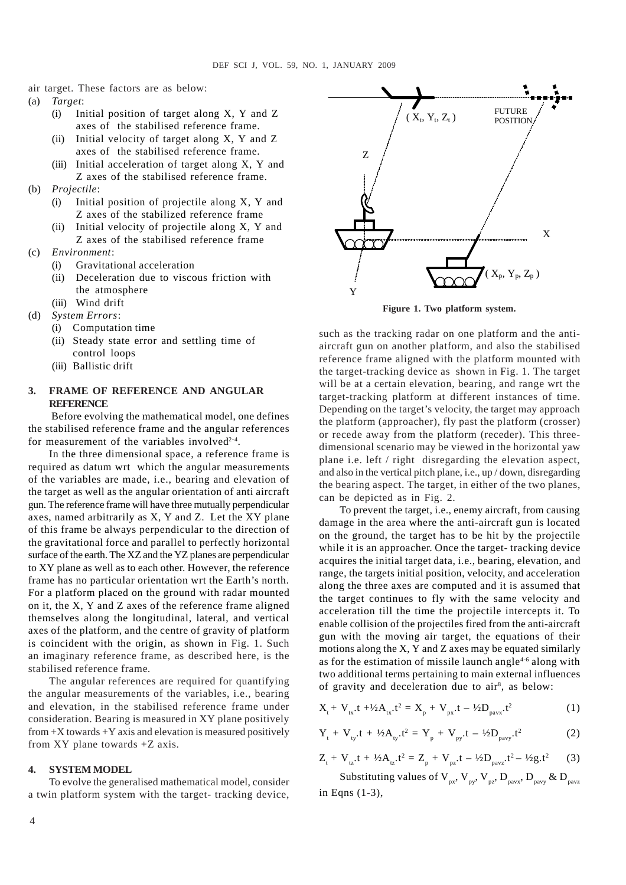air target. These factors are as below:

- (a) *Target*:
	- (i) Initial position of target along X, Y and Z axes of the stabilised reference frame.
	- (ii) Initial velocity of target along X, Y and Z axes of the stabilised reference frame.
	- (iii) Initial acceleration of target along X, Y and Z axes of the stabilised reference frame.
- (b) *Projectile*:
	- (i) Initial position of projectile along X, Y and Z axes of the stabilized reference frame
	- (ii) Initial velocity of projectile along X, Y and Z axes of the stabilised reference frame
- (c) *Environment*:
	- (i) Gravitational acceleration
	- (ii) Deceleration due to viscous friction with the atmosphere
	- (iii) Wind drift
- (d) *System Errors*:
	- (i) Computation time
	- (ii) Steady state error and settling time of control loops
	- (iii) Ballistic drift

# **3. FRAME OF REFERENCE AND ANGULAR REFERENCE**

 Before evolving the mathematical model, one defines the stabilised reference frame and the angular references for measurement of the variables involved<sup>2-4</sup>.

In the three dimensional space, a reference frame is required as datum wrt which the angular measurements of the variables are made, i.e., bearing and elevation of the target as well as the angular orientation of anti aircraft gun. The reference frame will have three mutually perpendicular axes, named arbitrarily as X, Y and Z. Let the XY plane of this frame be always perpendicular to the direction of the gravitational force and parallel to perfectly horizontal surface of the earth. The XZ and the YZ planes are perpendicular to XY plane as well as to each other. However, the reference frame has no particular orientation wrt the Earth's north. For a platform placed on the ground with radar mounted on it, the X, Y and Z axes of the reference frame aligned themselves along the longitudinal, lateral, and vertical axes of the platform, and the centre of gravity of platform is coincident with the origin, as shown in Fig. 1. Such an imaginary reference frame, as described here, is the stabilised reference frame*.*

The angular references are required for quantifying the angular measurements of the variables, i.e., bearing and elevation, in the stabilised reference frame under consideration. Bearing is measured in XY plane positively from  $+X$  towards  $+Y$  axis and elevation is measured positively from XY plane towards +Z axis.

#### **4. SYSTEM MODEL**

To evolve the generalised mathematical model, consider a twin platform system with the target- tracking device,



**Figure 1. Two platform system.**

such as the tracking radar on one platform and the antiaircraft gun on another platform, and also the stabilised reference frame aligned with the platform mounted with the target-tracking device as shown in Fig. 1. The target will be at a certain elevation, bearing, and range wrt the target-tracking platform at different instances of time. Depending on the target's velocity, the target may approach the platform (approacher), fly past the platform (crosser) or recede away from the platform (receder). This threedimensional scenario may be viewed in the horizontal yaw plane i.e. left / right disregarding the elevation aspect, and also in the vertical pitch plane, i.e., up / down, disregarding the bearing aspect. The target, in either of the two planes, can be depicted as in Fig. 2.

To prevent the target, i.e., enemy aircraft, from causing damage in the area where the anti-aircraft gun is located on the ground, the target has to be hit by the projectile while it is an approacher. Once the target- tracking device acquires the initial target data, i.e., bearing, elevation, and range, the targets initial position, velocity, and acceleration along the three axes are computed and it is assumed that the target continues to fly with the same velocity and acceleration till the time the projectile intercepts it. To enable collision of the projectiles fired from the anti-aircraft gun with the moving air target, the equations of their motions along the X, Y and Z axes may be equated similarly as for the estimation of missile launch angle $4-6$  along with two additional terms pertaining to main external influences of gravity and deceleration due to air<sup>8</sup>, as below:

$$
X_{t} + V_{tx}t + \frac{1}{2}A_{tx}t^{2} = X_{p} + V_{px}t - \frac{1}{2}D_{pavx}t^{2}
$$
 (1)

$$
Y_{t} + V_{ty}.t + \frac{1}{2}A_{ty}.t^{2} = Y_{p} + V_{py}.t - \frac{1}{2}D_{pavy}.t^{2}
$$
 (2)

$$
Z_{t} + V_{tz}t + \frac{1}{2}A_{tz}t^{2} = Z_{p} + V_{pz}t - \frac{1}{2}D_{pavz}t^{2} - \frac{1}{2}g_{z}t^{2}
$$
 (3)

Substituting values of  $V_{px}$ ,  $V_{py}$ ,  $V_{pz}$ ,  $D_{pavx}$ ,  $D_{pavy}$  &  $D_{pavz}$ in Eqns (1-3),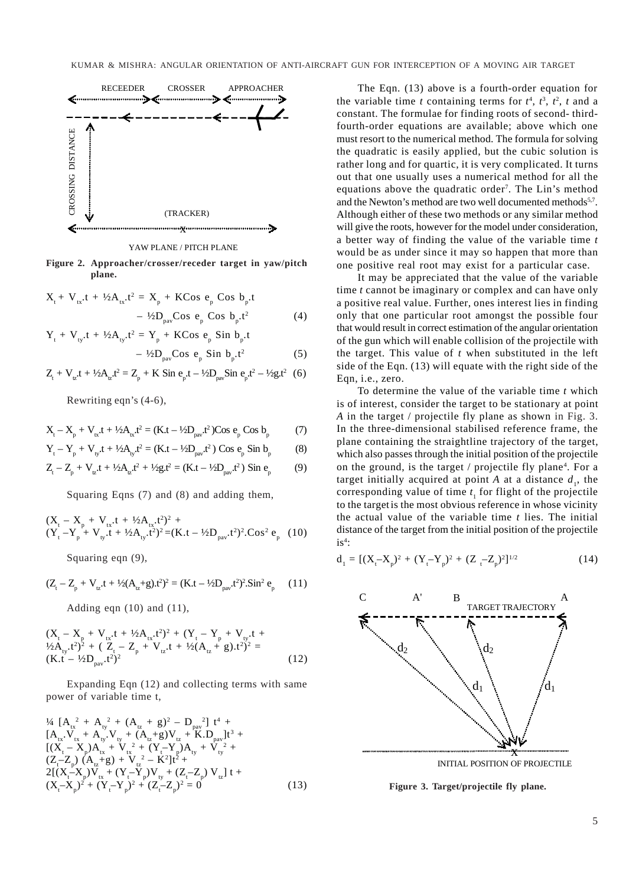

YAW PLANE / PITCH PLANE

**Figure 2. Approacher/crosser/receder target in yaw/pitch plane.**

$$
X_{t} + V_{tx}t + \frac{1}{2}A_{tx}t^{2} = X_{p} + KCos \ e_{p} Cos b_{p}t - \frac{1}{2}D_{pav}Cos \ e_{p} Cos b_{p}t^{2}
$$
 (4)

$$
Y_{t} + V_{ty}t + \frac{1}{2}A_{ty}t^{2} = Y_{p} + KCos \, e_{p} \, Sin \, b_{p}t - \frac{1}{2}D_{\text{pav}}Cos \, e_{p} \, Sin \, b_{p}t^{2}
$$
 (5)

$$
Z_{t} + V_{\nu}t + \frac{1}{2}A_{\nu}t^{2} = Z_{p} + K \sin e_{p}t - \frac{1}{2}D_{\text{par}} \sin e_{p}t^{2} - \frac{1}{2}g_{t}t^{2} \quad (6)
$$

Rewriting eqn's (4-6),

$$
X_{t} - X_{p} + V_{tx}t + \frac{1}{2}A_{tx}t^{2} = (K.t - \frac{1}{2}D_{pav}t^{2})\text{Cos } e_{p} \text{Cos } b_{p}
$$
 (7)

$$
Y_{t} - Y_{p} + V_{ty}t + \frac{1}{2}A_{ty}t^{2} = (K_{t} - \frac{1}{2}D_{pav}t^{2}) \text{ Cos } e_{p} \text{ Sin } b_{p}
$$
 (8)

$$
Z_{t} - Z_{p} + V_{tz}t + \frac{1}{2}A_{tz}t^{2} + \frac{1}{2}g_{z}t^{2} = (K_{t} - \frac{1}{2}D_{\text{pav}}t^{2}) \sin e_{p}
$$
(9)

Squaring Eqns (7) and (8) and adding them,

$$
(Xt - Xp + Vtx \cdot t + \frac{1}{2}Atx \cdot t2)2 +(Yt - Yp + Vty \cdot t + \frac{1}{2}Aty \cdot t2)2 = (K \cdot t - \frac{1}{2}Dpar \cdot t2)2 \cdot Cos2 ep (10)
$$

Squaring eqn (9),

$$
(Z_{t} - Z_{p} + V_{tz}t + \frac{1}{2}(A_{tz} + g)t^{2})^{2} = (K_{t}t - \frac{1}{2}D_{pav}t^{2})^{2}.Sin^{2} e_{p}
$$
 (11)

Adding eqn  $(10)$  and  $(11)$ ,

$$
(Xt - Xp + Vtx.t + ½Atx.t2)2 + (Yt - Yp + Vty.t + ½Aty.t2)2 + (Zt - Zp + Vtz.t + ½(Atz + g).t2)2 = (K.t - ½Dpar.t2)2
$$
 (12)

Expanding Eqn (12) and collecting terms with same power of variable time t,

$$
{}^{14}\left[A_{tx}^{2} + A_{ty}^{2} + (A_{tz} + g)^{2} - D_{px}^{2}\right] t^{4} +\n[A_{tx}V_{tx} + A_{ty}V_{ty} + (A_{tz}+g)V_{tz} + K.D_{px}]t^{3} +\n[(X_{t} - X_{p})A_{tx} + V_{tx}^{2} + (Y_{t} - Y_{p})A_{ty} + V_{ty}^{2} +\n(Z_{t} - Z_{p}) (A_{tz}+g) + V_{tz}^{2} - K^{2}]t^{2} +\n2[(X_{t} - X_{p})V_{tx} + (Y_{t} - Y_{p})V_{ty} + (Z_{t} - Z_{p}) V_{tz}]t +\n(X_{t} - X_{p})^{2} + (Y_{t} - Y_{p})^{2} + (Z_{t} - Z_{p})^{2} = 0
$$
\n(13)

The Eqn. (13) above is a fourth-order equation for the variable time *t* containing terms for  $t^4$ ,  $t^3$ ,  $t^2$ ,  $t$  and a constant. The formulae for finding roots of second- thirdfourth-order equations are available; above which one must resort to the numerical method. The formula for solving the quadratic is easily applied, but the cubic solution is rather long and for quartic, it is very complicated. It turns out that one usually uses a numerical method for all the equations above the quadratic order<sup>7</sup>. The Lin's method and the Newton's method are two well documented methods<sup>5,7</sup>. Although either of these two methods or any similar method will give the roots, however for the model under consideration, a better way of finding the value of the variable time *t* would be as under since it may so happen that more than one positive real root may exist for a particular case.

It may be appreciated that the value of the variable time *t* cannot be imaginary or complex and can have only a positive real value. Further, ones interest lies in finding only that one particular root amongst the possible four that would result in correct estimation of the angular orientation of the gun which will enable collision of the projectile with the target. This value of *t* when substituted in the left side of the Eqn. (13) will equate with the right side of the Eqn, i.e., zero.

To determine the value of the variable time *t* which is of interest, consider the target to be stationary at point *A* in the target / projectile fly plane as shown in Fig. 3. In the three-dimensional stabilised reference frame, the plane containing the straightline trajectory of the target, which also passes through the initial position of the projectile on the ground, is the target / projectile fly plane<sup>4</sup>. For a target initially acquired at point  $A$  at a distance  $d_1$ , the corresponding value of time  $t_1$  for flight of the projectile to the target is the most obvious reference in whose vicinity the actual value of the variable time *t* lies. The initial distance of the target from the initial position of the projectile  $is^4$ :

$$
d_1 = [(X_t - X_p)^2 + (Y_t - Y_p)^2 + (Z_t - Z_p)^2]^{1/2}
$$
 (14)



INITIAL POSITION OF PROJECTILE

**Figure 3. Target/projectile fly plane.**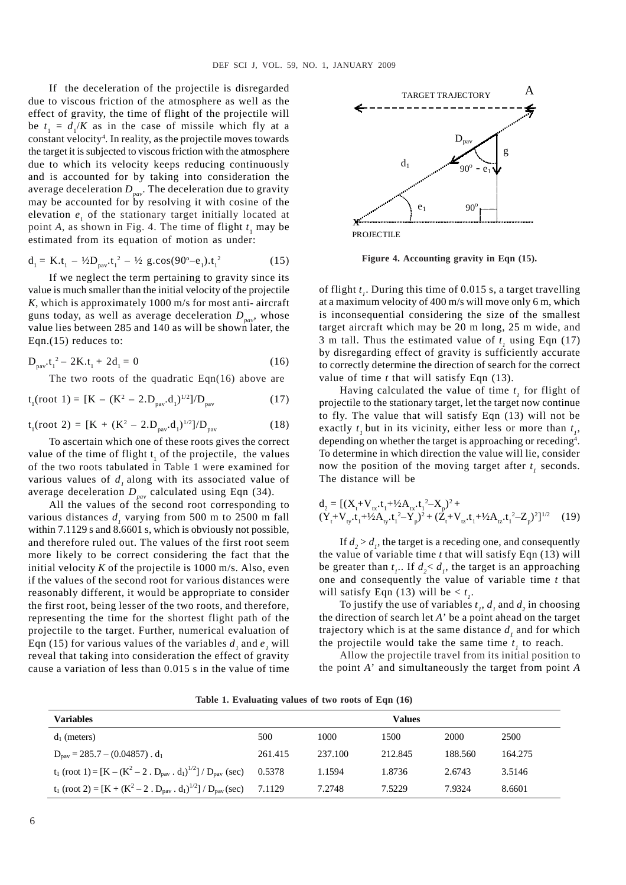If the deceleration of the projectile is disregarded due to viscous friction of the atmosphere as well as the effect of gravity, the time of flight of the projectile will be  $t_1 = d_1/K$  as in the case of missile which fly at a constant velocity<sup>4</sup>. In reality, as the projectile moves towards the target it is subjected to viscous friction with the atmosphere due to which its velocity keeps reducing continuously and is accounted for by taking into consideration the average deceleration  $D_{\text{par}}$ . The deceleration due to gravity may be accounted for by resolving it with cosine of the elevation  $e_1$  of the stationary target initially located at point *A*, as shown in Fig. 4. The time of flight  $t_1$  may be estimated from its equation of motion as under:

$$
d_1 = K.t_1 - \frac{1}{2}D_{\text{pav}}.t_1^2 - \frac{1}{2}g \cos(90^\circ - e_1).t_1^2 \tag{15}
$$

If we neglect the term pertaining to gravity since its value is much smaller than the initial velocity of the projectile *K*, which is approximately 1000 m/s for most anti- aircraft guns today, as well as average deceleration  $D_{\text{pav}}$ , whose value lies between 285 and 140 as will be shown later, the Eqn.(15) reduces to:

$$
D_{\text{pav}}.t_1^2 - 2K.t_1 + 2d_1 = 0 \tag{16}
$$

The two roots of the quadratic Eqn(16) above are

$$
t_1(root 1) = [K - (K^2 - 2.D_{\text{pav}}.d_1)^{1/2}]/D_{\text{pav}} \tag{17}
$$

$$
t_1(root 2) = [K + (K^2 - 2.D_{\text{pav}}.d_1)^{1/2}]/D_{\text{pav}} \tag{18}
$$

To ascertain which one of these roots gives the correct value of the time of flight  $t_1$  of the projectile, the values of the two roots tabulated in Table 1 were examined for various values of  $d_i$ , along with its associated value of average deceleration  $D_{\text{pav}}$  calculated using Eqn (34).

All the values of the second root corresponding to various distances  $d<sub>i</sub>$  varying from 500 m to 2500 m fall within 7.1129 s and 8.6601 s, which is obviously not possible, and therefore ruled out. The values of the first root seem more likely to be correct considering the fact that the initial velocity  $K$  of the projectile is 1000 m/s. Also, even if the values of the second root for various distances were reasonably different, it would be appropriate to consider the first root, being lesser of the two roots, and therefore, representing the time for the shortest flight path of the projectile to the target. Further, numerical evaluation of Eqn (15) for various values of the variables  $d_i$  and  $e_i$  will reveal that taking into consideration the effect of gravity cause a variation of less than 0.015 s in the value of time



PROJECTILE

**Figure 4. Accounting gravity in Eqn (15).**

of flight *t <sup>1</sup>*. During this time of 0.015 s, a target travelling at a maximum velocity of 400 m/s will move only 6 m, which is inconsequential considering the size of the smallest target aircraft which may be 20 m long, 25 m wide, and 3 m tall. Thus the estimated value of  $t_1$  using Eqn (17) by disregarding effect of gravity is sufficiently accurate to correctly determine the direction of search for the correct value of time *t* that will satisfy Eqn (13).

Having calculated the value of time  $t_1$  for flight of projectile to the stationary target, let the target now continue to fly. The value that will satisfy Eqn (13) will not be exactly  $t_1$  but in its vicinity, either less or more than  $t_1$ , depending on whether the target is approaching or receding<sup>4</sup>. To determine in which direction the value will lie, consider now the position of the moving target after  $t_i$  seconds. The distance will be

$$
\begin{aligned}\nd_2 &= \left[ (X_t + V_{tx} \cdot t_1 + \frac{1}{2} A_{tx} \cdot t_1^2 - X_p)^2 + (Y_t + V_{ty} \cdot t_1 + \frac{1}{2} A_{tx} \cdot t_1^2 - Y_p)^2 + (Z_t + V_{tz} \cdot t_1 + \frac{1}{2} A_{tz} \cdot t_1^2 - Z_p)^2 \right]^{1/2} \tag{19}\n\end{aligned}
$$

If  $d_2 > d_1$ , the target is a receding one, and consequently the value of variable time *t* that will satisfy Eqn (13) will be greater than  $t_1$ . If  $d_2 < d_1$ , the target is an approaching one and consequently the value of variable time *t* that will satisfy Eqn (13) will be  $< t_1$ .

To justify the use of variables  $t_1$ ,  $d_1$  and  $d_2$  in choosing the direction of search let *A*' be a point ahead on the target trajectory which is at the same distance  $d_i$  and for which the projectile would take the same time  $t<sub>i</sub>$  to reach.

Allow the projectile travel from its initial position to the point *A*' and simultaneously the target from point *A*

| <b>Variables</b>                                                                                                         |         |         | <b>Values</b> |         |         |
|--------------------------------------------------------------------------------------------------------------------------|---------|---------|---------------|---------|---------|
| $d_1$ (meters)                                                                                                           | 500     | 1000    | 1500          | 2000    | 2500    |
| $D_{\text{nav}} = 285.7 - (0.04857) \cdot d_1$                                                                           | 261.415 | 237.100 | 212.845       | 188.560 | 164.275 |
| $t_1$ (root 1) = [K – (K <sup>2</sup> – 2. D <sub>pav</sub> . d <sub>1</sub> ) <sup>1/2</sup> ] / D <sub>pav</sub> (sec) | 0.5378  | 1.1594  | 1.8736        | 2.6743  | 3.5146  |
| $t_1$ (root 2) = [K + (K <sup>2</sup> – 2. D <sub>pav</sub> . d <sub>1</sub> ) <sup>1/2</sup> ] / D <sub>pav</sub> (sec) | 7.1129  | 7.2748  | 7.5229        | 7.9324  | 8.6601  |

**Table 1. Evaluating values of two roots of Eqn (16)**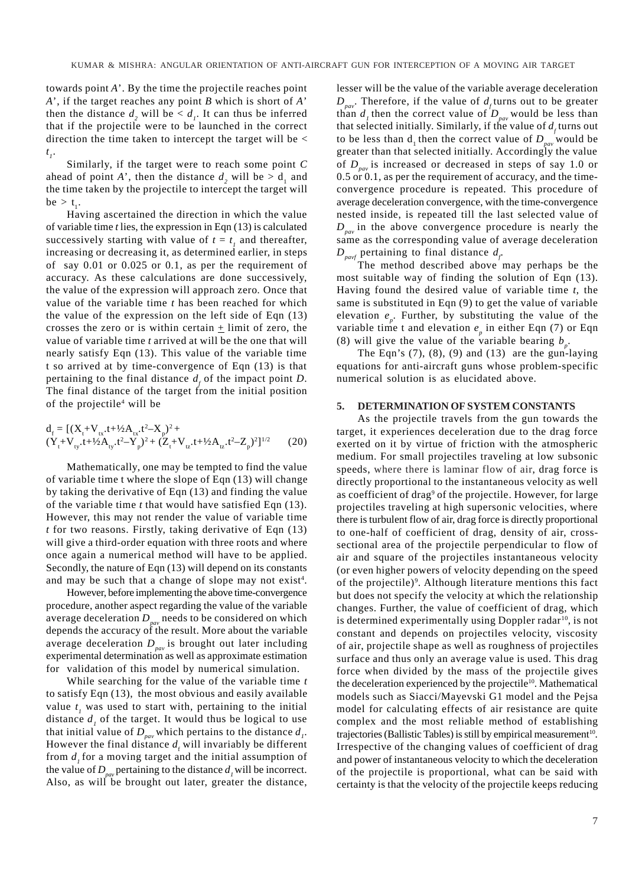towards point *A*'. By the time the projectile reaches point *A*', if the target reaches any point *B* which is short of *A*' then the distance  $d_2$  will be  $d_1$ . It can thus be inferred that if the projectile were to be launched in the correct direction the time taken to intercept the target will be < *t 1*.

Similarly, if the target were to reach some point *C* ahead of point *A*', then the distance  $d_2$  will be  $> d_1$  and the time taken by the projectile to intercept the target will  $be > t_{\ldots}$ 

Having ascertained the direction in which the value of variable time *t* lies, the expression in Eqn (13) is calculated successively starting with value of  $t = t<sub>l</sub>$  and thereafter, increasing or decreasing it, as determined earlier, in steps of say 0.01 or 0.025 or 0.1, as per the requirement of accuracy. As these calculations are done successively, the value of the expression will approach zero*.* Once that value of the variable time *t* has been reached for which the value of the expression on the left side of Eqn (13) crosses the zero or is within certain  $\pm$  limit of zero, the value of variable time *t* arrived at will be the one that will nearly satisfy Eqn (13). This value of the variable time t so arrived at by time-convergence of Eqn (13) is that pertaining to the final distance  $d_f$  of the impact point *D*. The final distance of the target from the initial position of the projectile<sup>4</sup> will be

$$
d_{f} = [(X_{t} + V_{tx} \cdot t + \frac{1}{2}A_{tx} \cdot t^{2} - X_{p})^{2} + (Y_{t} + V_{ty} \cdot t + \frac{1}{2}A_{ty} \cdot t^{2} - Y_{p})^{2} + (Z_{t} + V_{tz} \cdot t + \frac{1}{2}A_{tz} \cdot t^{2} - Z_{p})^{2}]^{1/2}
$$
(20)

Mathematically, one may be tempted to find the value of variable time t where the slope of Eqn (13) will change by taking the derivative of Eqn (13) and finding the value of the variable time *t* that would have satisfied Eqn (13). However, this may not render the value of variable time *t* for two reasons. Firstly, taking derivative of Eqn (13) will give a third-order equation with three roots and where once again a numerical method will have to be applied. Secondly, the nature of Eqn (13) will depend on its constants and may be such that a change of slope may not exist<sup>4</sup>.

However, before implementing the above time-convergence procedure, another aspect regarding the value of the variable average deceleration  $D_{\text{pav}}$  needs to be considered on which depends the accuracy of the result. More about the variable average deceleration  $D_{\text{par}}$  is brought out later including experimental determination as well as approximate estimation for validation of this model by numerical simulation.

While searching for the value of the variable time *t* to satisfy Eqn (13), the most obvious and easily available value  $t_1$  was used to start with, pertaining to the initial distance  $d_i$  of the target. It would thus be logical to use that initial value of  $D_{\text{pav}}$  which pertains to the distance  $d_{\text{p}}$ . However the final distance  $d_f$  will invariably be different from  $d$ , for a moving target and the initial assumption of the value of  $D_{\text{app}}$  pertaining to the distance  $d_i$  will be incorrect. Also, as will be brought out later, greater the distance, lesser will be the value of the variable average deceleration  $D_{\text{pav}}$ . Therefore, if the value of  $d_f$  turns out to be greater than  $d_1$  then the correct value of  $D_{\text{pav}}$  would be less than that selected initially. Similarly, if the value of  $d_f$  turns out to be less than  $d_1$  then the correct value of  $D_{pav}$  would be greater than that selected initially. Accordingly the value of *Dpav* is increased or decreased in steps of say 1.0 or 0.5 or 0.1, as per the requirement of accuracy, and the timeconvergence procedure is repeated. This procedure of average deceleration convergence, with the time-convergence nested inside, is repeated till the last selected value of  $D_{\text{pav}}$  in the above convergence procedure is nearly the same as the corresponding value of average deceleration  $D_{\text{pavf}}$  pertaining to final distance  $d_{\text{f}}$ .

The method described above may perhaps be the most suitable way of finding the solution of Eqn (13). Having found the desired value of variable time *t*, the same is substituted in Eqn (9) to get the value of variable elevation  $e_p$ . Further, by substituting the value of the variable time t and elevation  $e_p$  in either Eqn (7) or Eqn (8) will give the value of the variable bearing  $b_p$ .

The Eqn's  $(7)$ ,  $(8)$ ,  $(9)$  and  $(13)$  are the gun-laying equations for anti-aircraft guns whose problem-specific numerical solution is as elucidated above.

# **5. DETERMINATION OF SYSTEM CONSTANTS**

As the projectile travels from the gun towards the target, it experiences deceleration due to the drag force exerted on it by virtue of friction with the atmospheric medium. For small projectiles traveling at low subsonic speeds, where there is laminar flow of air, drag force is directly proportional to the instantaneous velocity as well as coefficient of drag<sup>9</sup> of the projectile. However, for large projectiles traveling at high supersonic velocities, where there is turbulent flow of air, drag force is directly proportional to one-half of coefficient of drag, density of air, crosssectional area of the projectile perpendicular to flow of air and square of the projectiles instantaneous velocity (or even higher powers of velocity depending on the speed of the projectile)<sup>9</sup>. Although literature mentions this fact but does not specify the velocity at which the relationship changes. Further, the value of coefficient of drag, which is determined experimentally using Doppler radar<sup>10</sup>, is not constant and depends on projectiles velocity, viscosity of air, projectile shape as well as roughness of projectiles surface and thus only an average value is used. This drag force when divided by the mass of the projectile gives the deceleration experienced by the projectile<sup>10</sup>. Mathematical models such as Siacci/Mayevski G1 model and the Pejsa model for calculating effects of air resistance are quite complex and the most reliable method of establishing trajectories (Ballistic Tables) is still by empirical measurement $10$ . Irrespective of the changing values of coefficient of drag and power of instantaneous velocity to which the deceleration of the projectile is proportional, what can be said with certainty is that the velocity of the projectile keeps reducing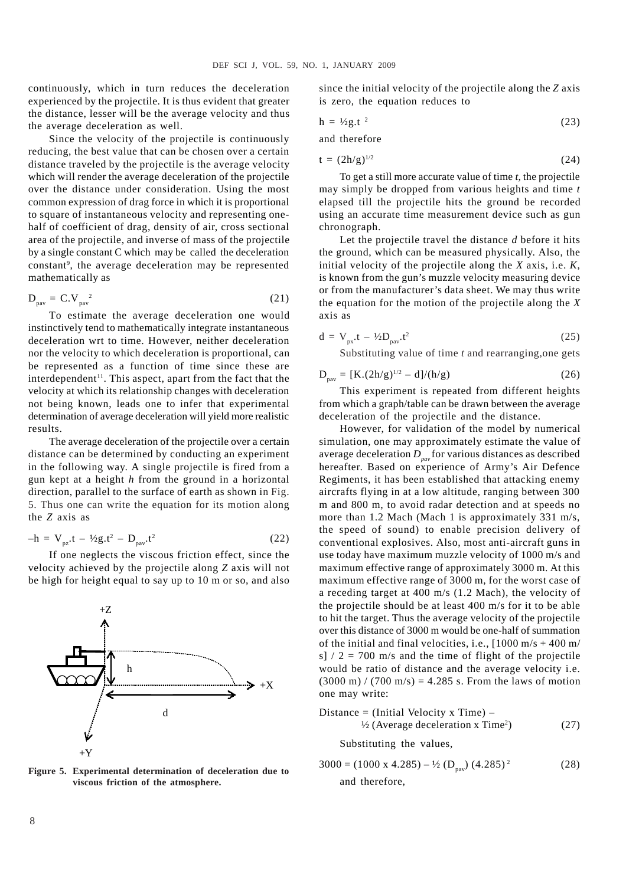continuously, which in turn reduces the deceleration experienced by the projectile. It is thus evident that greater the distance, lesser will be the average velocity and thus the average deceleration as well.

Since the velocity of the projectile is continuously reducing, the best value that can be chosen over a certain distance traveled by the projectile is the average velocity which will render the average deceleration of the projectile over the distance under consideration. Using the most common expression of drag force in which it is proportional to square of instantaneous velocity and representing onehalf of coefficient of drag, density of air, cross sectional area of the projectile, and inverse of mass of the projectile by a single constant C which may be called the deceleration constant<sup>9</sup>, the average deceleration may be represented mathematically as

$$
D_{\text{pav}} = C.V_{\text{pav}}^2 \tag{21}
$$

To estimate the average deceleration one would instinctively tend to mathematically integrate instantaneous deceleration wrt to time. However, neither deceleration nor the velocity to which deceleration is proportional, can be represented as a function of time since these are interdependent<sup>11</sup>. This aspect, apart from the fact that the velocity at which its relationship changes with deceleration not being known, leads one to infer that experimental determination of average deceleration will yield more realistic results.

The average deceleration of the projectile over a certain distance can be determined by conducting an experiment in the following way. A single projectile is fired from a gun kept at a height *h* from the ground in a horizontal direction, parallel to the surface of earth as shown in Fig. 5. Thus one can write the equation for its motion along the *Z* axis as

$$
-h = V_{pz}t - \frac{1}{2}g_t^2 - D_{pav}t^2
$$
 (22)

If one neglects the viscous friction effect, since the velocity achieved by the projectile along *Z* axis will not be high for height equal to say up to 10 m or so, and also



**Figure 5. Experimental determination of deceleration due to viscous friction of the atmosphere.**

since the initial velocity of the projectile along the *Z* axis is zero, the equation reduces to

$$
h = \frac{1}{2}gt^2
$$
 (23)

and therefore

$$
t = (2h/g)^{1/2} \tag{24}
$$

To get a still more accurate value of time *t*, the projectile may simply be dropped from various heights and time *t* elapsed till the projectile hits the ground be recorded using an accurate time measurement device such as gun chronograph.

Let the projectile travel the distance *d* before it hits the ground, which can be measured physically. Also, the initial velocity of the projectile along the *X* axis, i.e. *K*, is known from the gun's muzzle velocity measuring device or from the manufacturer's data sheet. We may thus write the equation for the motion of the projectile along the *X* axis as

$$
d = V_{px}t - \frac{1}{2}D_{pav}t^2
$$
 (25)

Substituting value of time *t* and rearranging,one gets

$$
D_{\text{pav}} = [K.(2h/g)^{1/2} - d]/(h/g)
$$
 (26)

This experiment is repeated from different heights from which a graph/table can be drawn between the average deceleration of the projectile and the distance.

However, for validation of the model by numerical simulation, one may approximately estimate the value of average deceleration  $D_{\text{pav}}$  for various distances as described hereafter. Based on experience of Army's Air Defence Regiments, it has been established that attacking enemy aircrafts flying in at a low altitude, ranging between 300 m and 800 m, to avoid radar detection and at speeds no more than 1.2 Mach (Mach 1 is approximately 331 m/s, the speed of sound) to enable precision delivery of conventional explosives. Also, most anti-aircraft guns in use today have maximum muzzle velocity of 1000 m/s and maximum effective range of approximately 3000 m. At this maximum effective range of 3000 m, for the worst case of a receding target at 400 m/s (1.2 Mach), the velocity of the projectile should be at least 400 m/s for it to be able to hit the target. Thus the average velocity of the projectile over this distance of 3000 m would be one-half of summation of the initial and final velocities, i.e.,  $[1000 \text{ m/s} + 400 \text{ m}$ s]  $/ 2 = 700$  m/s and the time of flight of the projectile would be ratio of distance and the average velocity i.e.  $(3000 \text{ m}) / (700 \text{ m/s}) = 4.285 \text{ s}$ . From the laws of motion one may write:

Distance = (Initial Velocity x Time) –  
\n
$$
\frac{1}{2} \text{ (Average deceleration x Time}^2 \text{)}
$$
\n(27)

Substituting the values,

$$
3000 = (1000 \times 4.285) - \frac{1}{2} (D_{\text{pav}}) (4.285)^2
$$
 (28)  
and therefore,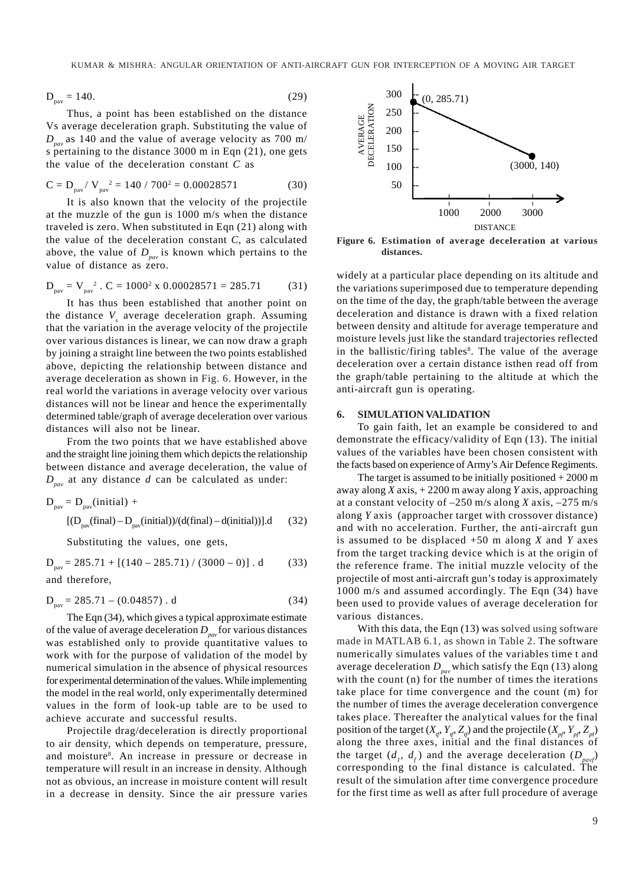$$
D_{\text{pav}} = 140. \tag{29}
$$

Thus, a point has been established on the distance Vs average deceleration graph. Substituting the value of  $D_{\text{pav}}$  as 140 and the value of average velocity as 700 m/ s pertaining to the distance 3000 m in Eqn (21), one gets the value of the deceleration constant *C* as

$$
C = D_{\text{pav}} / V_{\text{pav}}^2 = 140 / 700^2 = 0.00028571
$$
 (30)

It is also known that the velocity of the projectile at the muzzle of the gun is 1000 m/s when the distance traveled is zero. When substituted in Eqn (21) along with the value of the deceleration constant *C*, as calculated above, the value of  $D_{\text{pav}}$  is known which pertains to the value of distance as zero.

$$
D_{\text{pav}} = V_{\text{pav}}^2 \cdot C = 1000^2 \times 0.00028571 = 285.71 \tag{31}
$$

It has thus been established that another point on the distance V<sub>s</sub> average deceleration graph. Assuming that the variation in the average velocity of the projectile over various distances is linear, we can now draw a graph by joining a straight line between the two points established above, depicting the relationship between distance and average deceleration as shown in Fig. 6. However, in the real world the variations in average velocity over various distances will not be linear and hence the experimentally determined table/graph of average deceleration over various distances will also not be linear.

From the two points that we have established above and the straight line joining them which depicts the relationship between distance and average deceleration, the value of *D<sub>nav</sub>* at any distance *d* can be calculated as under:

$$
D_{\text{pav}} = D_{\text{pav}}(\text{initial}) +
$$
  
[(D\_{\text{pav}}(\text{final}) - D\_{\text{pav}}(\text{initial}))/(d(\text{final}) - d(\text{initial}))].d (32)

Substituting the values, one gets,

 $D_{\text{pav}} = 285.71 + [(140 - 285.71) / (3000 - 0)]$ . d (33) and therefore,

$$
D_{\text{pav}} = 285.71 - (0.04857) \text{ . d} \tag{34}
$$

The Eqn (34), which gives a typical approximate estimate of the value of average deceleration  $D_{pav}$  for various distances was established only to provide quantitative values to work with for the purpose of validation of the model by numerical simulation in the absence of physical resources for experimental determination of the values. While implementing the model in the real world, only experimentally determined values in the form of look-up table are to be used to achieve accurate and successful results.

Projectile drag/deceleration is directly proportional to air density, which depends on temperature, pressure, and moisture<sup>8</sup>. An increase in pressure or decrease in temperature will result in an increase in density. Although not as obvious, an increase in moisture content will result in a decrease in density. Since the air pressure varies



**Figure 6. Estimation of average deceleration at various distances.**

widely at a particular place depending on its altitude and the variations superimposed due to temperature depending on the time of the day, the graph/table between the average deceleration and distance is drawn with a fixed relation between density and altitude for average temperature and moisture levels just like the standard trajectories reflected in the ballistic/firing tables<sup>8</sup>. The value of the average deceleration over a certain distance isthen read off from the graph/table pertaining to the altitude at which the anti-aircraft gun is operating.

#### **6. SIMULATION VALIDATION**

To gain faith, let an example be considered to and demonstrate the efficacy/validity of Eqn (13). The initial values of the variables have been chosen consistent with the facts based on experience of Army's Air Defence Regiments.

The target is assumed to be initially positioned  $+2000$  m away along *X* axis, + 2200 m away along *Y* axis, approaching at a constant velocity of –250 m/s along *X* axis, –275 m/s along *Y* axis (approacher target with crossover distance) and with no acceleration. Further, the anti-aircraft gun is assumed to be displaced +50 m along *X* and *Y* axes from the target tracking device which is at the origin of the reference frame. The initial muzzle velocity of the projectile of most anti-aircraft gun's today is approximately 1000 m/s and assumed accordingly. The Eqn (34) have been used to provide values of average deceleration for various distances.

With this data, the Eqn (13) was solved using software made in MATLAB 6.1, as shown in Table 2. The software numerically simulates values of the variables time t and average deceleration  $D_{\text{pav}}$  which satisfy the Eqn (13) along with the count (n) for the number of times the iterations take place for time convergence and the count (m) for the number of times the average deceleration convergence takes place. Thereafter the analytical values for the final position of the target  $(X_{n'} | Y_{n'} Z_{n'})$  and the projectile  $(X_{n'} | Y_{n'} Z_{n'})$ along the three axes, initial and the final distances of the target  $(d_i, d_j)$  and the average deceleration  $(D_{pavf})$ corresponding to the final distance is calculated. The result of the simulation after time convergence procedure for the first time as well as after full procedure of average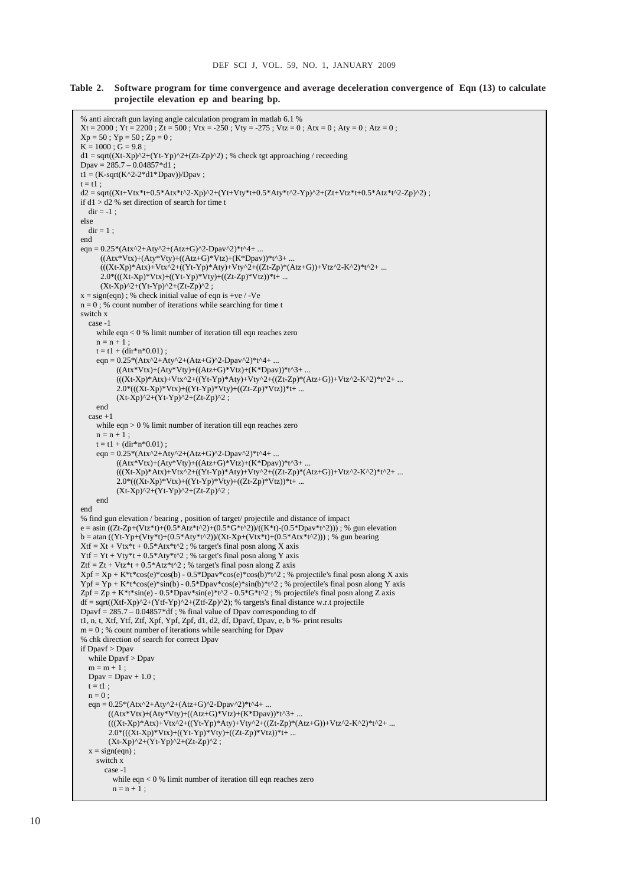**Table 2. Software program for time convergence and average deceleration convergence of Eqn (13) to calculate projectile elevation ep and bearing bp.**

```
% anti aircraft gun laying angle calculation program in matlab 6.1 % 
Xt = 2000; Yt = 2200; Zt = 500; Vtx = -250; Vty = -275; Vtz = 0; Atx = 0; Aty = 0; Atz = 0;
Xp = 50; Yp = 50; Zp = 0;
\mathbf{K} = 1000: \mathbf{G} = 9.8:
dl = sqrt((Xt-Xp)^2+(Yt-Yp)^2+(Zt-Zp)^2); % check tgt approaching / receeding
Dpav = 285.7 - 0.04857 * d1;
t1 = (K-sqrt(K^2-2*d1*Dpav))/Dpav;
t = t1;
d2 = \text{sqrt}((Xt+Vtx*t+0.5*Atx*t^2-Zp)^2+(Yt+Vtv*t+0.5*Atv*t^2-Yp)^2+(Zt+Vtz*t+0.5*Atz*t^2-Zp)^2) ;
if d1 > d2% set direction of search for time t
  dir = -1;
else 
  dir = 1;
end 
eqn = 0.25*(Atx^{2}+Aty^{2}+(Atz+G)^{2}-Dpav^{2})*t^{4}+ ...((Atx*Vtx)+(Aty*Vty)+((Atz+G)*Vtz)+(K*Dpav))*t^3+ ...(((Xt-Xp)*Atx)+Vtx^2+((Yt-Yp)*Aty)+Vty^2+((Zt-Zp)*(Atz+G))+Vtz^2-K^2)*t^2+ ...2.0*((\dot{X}t-Xp)*Vtx)+((Yt-Yp)*Vty)+((Zt-Zp)*Vtz))*t+ ...(Xt-Xp)^2+(Yt-Yp)^2+(Zt-Zp)^2;
x = sign(ean): % check initial value of eqn is +ve / -Ve
n = 0; % count number of iterations while searching for time t
switch x 
   case -1 
      while eqn < 0 % limit number of iteration till eqn reaches zero 
     n = n + 1:
    t = t1 + (dir* n * 0.01);
     eqn = 0.25*(Atx^2+Aty^2+(Atz+G)^2-Dpay^2)*t^4+ ...((Atx*Vtx)+(Aty*Vty)+((Atz+G)*Vtz)+(K*Dpav))*t^3+.
           (((Xt{\cdot}Xp)^*Atx)+Vtx^{\wedge}2+((Yt{\cdot}Yp)^*Aty)+Vty^{\wedge}2+((Zt{\cdot}Zp)^*(Atz+G))+Vtz^{\wedge}2{\cdot}K^{\wedge}2)^*t^{\wedge}2+...2.0*((Xt-Xp)*Vtx)+((Yt-Yp)*Vty)+((Zt-Zp)*Vtz))*t+.
           (Xt-Xp)^2+(Yt-Yp)^2+(Zt-Zp)^2 ;
     end 
  case +1while \operatorname{\sf eqn}>0 % limit number of iteration till eqn reaches zero
     n = n + 1:
     t = t1 + (dir*n*0.01);
     eqn = 0.25*(Atx^2+Aty^2+(Atz+G)^2-Dpav^2)*t^4+ ...((Atx*Vtx)+(Aty*Vty)+((Atz+G)*Vtz)+(K*Dpav))*t^3+...(((Xt-Xp)*Atx)+Vtx^2+((Yt-Yp)*Aty)+Vty^2+((Zt-Zp)*(Atz+G))+Vtz^2-K^2)*t^2+ ...2.0*(((Xt-Xp)*Vtx)+((Yt-Yp)*Vty)+((Zt-Zp)*Vtz))*t+ ...
           (Xt-Xp)^2+(Yt-Yp)^2+(Zt-Zp)^2 ;
     end 
end 
% find gun elevation / bearing , position of target/ projectile and distance of impact 
e = \sin ((Zt-Zp+(Vtz*t)+(0.5*Atz*t^2)+(0.5*G*t^2))/(K*t)-(0.5*Dpav*t^2)); % gun elevation
b = \text{atan } ((Yt-Yp+(Vty*t)+(0.5*Aty*t^2))/(Xt-Xp+(Vtx*t)+(0.5*Atx*t^2))); % gun bearing
Xtf = Xt + Vtx*t + 0.5*Atx*t^2 ; % target's final posn along X axis
Ytf = Yt + Vty*t + 0.5*Aty*t^2 ; % target's final posn along Y axis
Ztf = Zt + Vtz*t + 0.5*Atz*t^2 ; % target's final posn along Z axis
Xpf = Xp + K*t*cos(e)*cos(b) - 0.5*Dpav*cos(e)*cos(b)*t^2; % projectile's final posn along X axisYpf = Yp + K*t\cos(e)*\sin(b) - 0.5*Dpav*\cos(e)*\sin(b)*t^2; % projectile's final posn along Y axisZpf = Zp + K^*t^*sin(e) - 0.5*Dpav*sin(e)*t^2 - 0.5*G*t^2 ; % projectile's final posn along Z axis
df = sqrt((Xtf-Xp)^{2}+(Ytf-Yp)^{2}+(Ztf-Zp)^{2}); % targets's final distance w.r.t projectile
Dpavf = 285.7 – 0.04857*df ; % final value of Dpav corresponding to df 
t1, n, t, Xtf, Ytf, Ztf, Xpf, Ypf, Zpf, d1, d2, df, Dpavf, Dpav, e, b %- print results 
m = 0; % count number of iterations while searching for Dpav
% chk direction of search for correct Dpav 
if Dpavf > Dpav 
   while Dpavf > Dpav 
  m = m + 1:
  Dpav = Dpav + 1.0;
  t = t1;
  n = 0;
  eqn = 0.25*(Atx^2+Aty^2+(Atz+G)^2-Dpav^2)*t^4+ ...((Atx*Vtx)+(Aty*Vty)+((Atz+G)*Vtz)+(K*Dpay))*t^3+ ...(((Xt-Xp)*Atx)+Vtx^2+((Yt-Yp)*Aty)+Vty^2+((Zt-Zp)*(Atz+G))+Vtz^2+K^2)*t^2+ ...2.0*(((Xt-Xp)*Vtx)+((Yt-Yp)*Vty)+((Zt-Zp)*Vtz))*t+ ...
        (Xt-Xp)^2+(Yt-Yp)^2+(Zt-Zp)^2;
  x = sign(eqn);
      switch x 
        case -1 
           while eqn < 0 % limit number of iteration till eqn reaches zero 
         n = n + 1:
```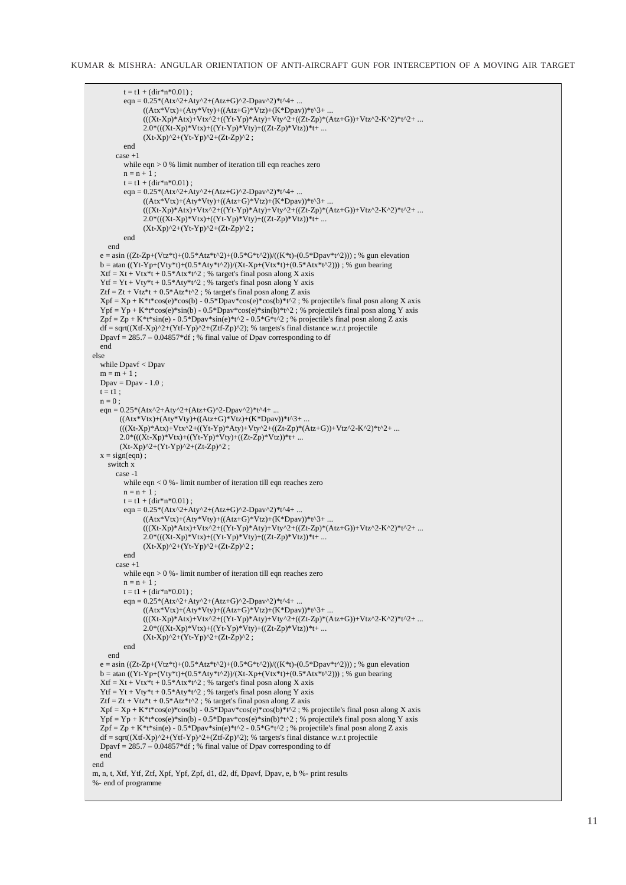KUMAR & MISHRA: ANGULAR ORIENTATION OF ANTI-AIRCRAFT GUN FOR INTERCEPTION OF A MOVING AIR TARGET

```
t = t1 + (dir*n*0.01);
eqn = 0.25*(Atx^2+Aty^2+(Atz+G)^2-Dpav^2)*t^4+ ...((Atx*Vtx)+(Aty*Vty)+((Atz+G)*Vtz)+(K*Dpav))*t^3+ ...(((Xt-Xp)*Atx)+Vtx^2+((Yt-Yp)*Aty)+Vty^2+((Zt-Zp)*(Atz+G))+Vtz^2+K^2)*t^2+...2.0*((Xt-Xp)*Vtx)+((Yt-Yp)*Vty)+((Zt-Zp)*Vtz))*t+ ...(Xt-Xp)^2+(Yt-Yp)^2+(Zt-Zp)^2 ;
          end 
       case +1 
          while eqn > 0 % limit number of iteration till eqn reaches zero 
         n = n + 1;
         t = t1 + (dir * n * 0.01):
         eqn = 0.25*(Atx^2+Aty^2+(Atz+G)^2-Dpav^2)*t^4+ ...((Atx*Vtx)+(Aty*Vty)+((Atz+G)*Vtz)+(K*Dpav))*t^3+ ...(((Xt-Xp)*Atx)+Vtx^2+((Yt-Yp)*Aty)+Vty^2+((Zt-Zp)*(Atz+G))+Vtz^2+K^2)*t^2+...2.0*((Xt-Xp)*Vtx)+((Yt-Yp)*Vty)+((Zt-Zp)*Vtz))*t+ ...(Xt-Xp)^2+(Yt-Yp)^2+(Zt-Zp)^2 ;
          end 
     end 
  e = \sin((Zt-Zp+(Vtz*t)+(0.5*Atz*t^2)+(0.5*G*t^2))/((K*t)-(0.5*Dpav*t^2))); % gun elevation
  b = \text{atan } ((Yt-Yp+(Vty*t)+(0.5*Aty*t^2))/(Xt-Xp+(Vtx*t)+(0.5*Atx*t^2))); % gun bearing
  Xtf = Xt + Vtx*t + 0.5*Atx*t^2; % target's final posn along X axis
  Ytf = Yt + Vty*t + 0.5*Aty*t^2; % target's final posn along Y axis
  Ztf = Zt + Vtz*t + 0.5*Atz*t^2; % target's final posn along Z axis
  Xpf = Xp + K*t*cos(e)*cos(b) - 0.5*Dpav*cos(e)*cos(b)*t^2; % projectile's final posn along X axisYpf = Yp + K*t*cos(e)*sin(b) - 0.5*Dpav*cos(e)*sin(b)*t^2; % projectile's final posn along Y axis
  Zpf = Zp + K*t*sin(e) - 0.5*Dax*sin(e)*t^2 - 0.5*G*t^2 ; % projectile's final posn along Z axis
  df = sqrt((Xtf-Xp)^2 + (Ytf-Yp)^2 + (Ztf-Zp)^2); % targets's final distance w.r.t projectile
  Dpavf = 285.7 - 0.04857 * df; % final value of Dpav corresponding to df
   end 
else 
   while Dpavf < Dpav 
  \mathbf{m}=\mathbf{m}+1 ;
  Dpav = Dpav - 1.0;
  t = t1:
  n = 0 :
  eqn = 0.25*(Atx^2+Aty^2+(Atz+G)^2-Dpav^2)*t^4+ ...((Atx*Vtx)+(Aty*Vty)+((Atz+G)*Vtz)+(K*Dpav))*t^3+...(((Xt-Xp)*Atx)+Vtx^2+((Yt-Yp)*Aty)+Vty^2+((Zt-Zp)*(Atz+G))+Vtz^2-K^2)*t^2+ ...2.0*(((Xt-Xp)*Vtx)+((Yt-Yp)*Vty)+((Zt-Zp)*Vtz))*t+ ...
        (Xt-Xp)^2+(Yt-Yp)^2+(Zt-Zp)^2 ;
  x = sign(ean):
     switch x 
       case -1 
          while eqn < 0 %- limit number of iteration till eqn reaches zero 
         n = n + 1;
         t = t1 + (dir*n*0.01);
         eqn = 0.25*(Atx^2+Aty^2+(Atz+G)^2-Dpav^2)*t^4+ ...((Atx*Vtx)+(Aty*Vty)+((Atz+G)*Vtz)+(K*Dpav))*t^3+...(((Xt-Xp)*Atx)+(Ytx^2+((Yt-Yp)*Aty)+Vty^2+((Zt-Zp)*(Atz+G))+Vtz^2-K^2)*t^2+ ...2.0*((\overline{X}t-Xp)*Vtx)+((Yt-Yp)*Vty)+((Zt-Zp)*Vtz))*t+ ...(Xt-Xp)^2+(Yt-Yp)^2+(Zt-Zp)^2;
          end 
      case +1while e^{q} = 0 % - limit number of iteration till eqn reaches zero
         n = n + 1;
         t = t1 + (dir*n*0.01);
         eqn = 0.25*(Atx^2+Aty^2+(Atz+G)^2-Dpav^2)*t^4+ ...((Atx*Vtx)+(Aty*Vty)+((Atz+G)*Vtz)+(K*Dpav))*t^3+ ...(((Xt-Xp)*Atx)+Vtx^2+((Yt-Yp)*Aty)+Vty^2+((Zt-Zp)*(Atz+G))+Vtz^2-K^2)*t^2+ ...2.0*((\dot{X}t-Xp)*Vtx)+((Yt-Yp)*Vty)+((Zt-Zp)*Vtz))*t+ ...(Xt-Xp)^2+(Yt-Yp)^2+(Zt-Zp)^2 ;
          end 
     end 
  e = \sin ((Zt-Zp+(Vtz*t)+(0.5*Atz*t^2)+(0.5*G*t^2))/((K*t)-(0.5*Dpav*t^2))); % gun elevation
  b = \text{atan } ((Yt - Yp + (Vty*t) + (0.5*Aty*t^2))/(Xt-Xp + (Vtx*t) + (0.5*Atx*t^2))); % gun bearing
  Xtf = Xt + Vtx*t + 0.5*Atx*t^2; % target's final posn along X axis
  Ytf = Yt + Vty*t + 0.5*Aty*t^2 ; % target's final posn along Y axis
  Ztf = Zt + Vtz*t + 0.5*Atz*t^2; % target's final posn along Z axis
  Xpf = Xp + K*t*cos(e)*cos(b) - 0.5*Dav*cos(e)*cos(b)*t^2 ; % projectile's final posn along X axisYpf = Yp + K*t*cos(e)*sin(b) - 0.5*Dpav*cos(e)*sin(b)*t^2; % projectile's final posn along Y axisZpf = Zp + K^*t^*sin(e) - 0.5*Dpav*sin(e)*t^2 - 0.5*G*t^2 ; % projectile's final posn along Z axis
  df = sqrt((Xtf-Xp)^{2}+(Ytf-Yp)^{2}+(Ztf-Zp)^{2}); % targets's final distance w.r.t projectile
  Dpavf = 285.7 - 0.04857 * df; % final value of Dpav corresponding to df
   end 
end 
m, n, t, Xtf, Ytf, Ztf, Xpf, Ypf, Zpf, d1, d2, df, Dpavf, Dpav, e, b %- print results 
%- end of programme
```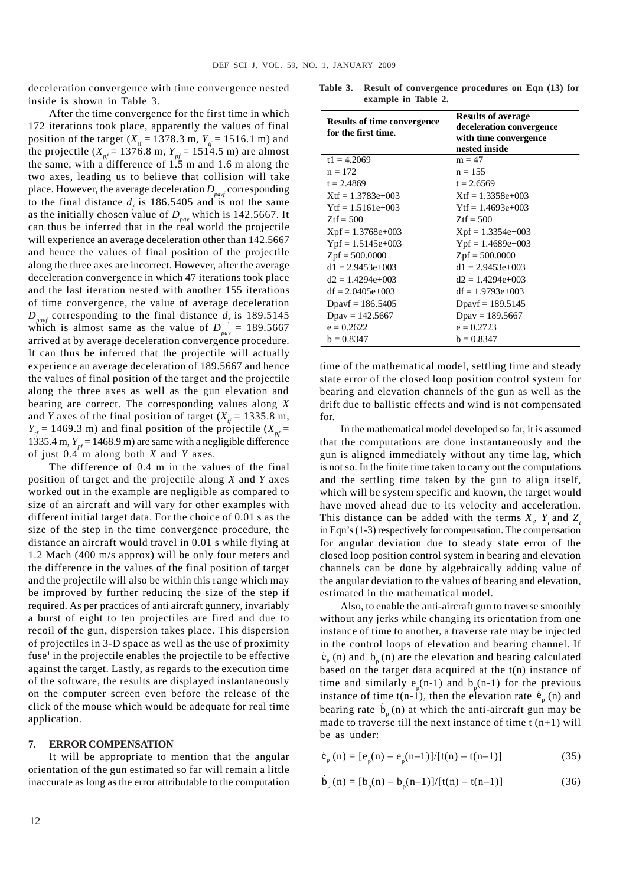deceleration convergence with time convergence nested inside is shown in Table 3.

After the time convergence for the first time in which 172 iterations took place, apparently the values of final position of the target ( $X_{\text{rf}} = 1378.3 \text{ m}$ ,  $Y_{\text{tf}} = 1516.1 \text{ m}$ ) and the projectile ( $X_{pf}$  = 1376.8 m,  $Y_{pf}$  = 1514.5 m) are almost the same, with a difference of 1.5 m and 1.6 m along the two axes, leading us to believe that collision will take place. However, the average deceleration  $D_{\text{part}}$  corresponding to the final distance  $d_f$  is 186.5405 and is not the same as the initially chosen value of  $D_{\text{pav}}$  which is 142.5667. It can thus be inferred that in the real world the projectile will experience an average deceleration other than 142.5667 and hence the values of final position of the projectile along the three axes are incorrect. However, after the average deceleration convergence in which 47 iterations took place and the last iteration nested with another 155 iterations of time convergence, the value of average deceleration  $D_{\text{part}}$  corresponding to the final distance  $d_f$  is 189.5145 which is almost same as the value of  $D_{pav}^{q} = 189.5667$ arrived at by average deceleration convergence procedure. It can thus be inferred that the projectile will actually experience an average deceleration of 189.5667 and hence the values of final position of the target and the projectile along the three axes as well as the gun elevation and bearing are correct. The corresponding values along *X* and *Y* axes of the final position of target ( $X_f$  = 1335.8 m,  $Y_f = 1469.3$  m) and final position of the projectile ( $X_{pf} =$ 1335.4 m,  $Y_{pf}$  = 1468.9 m) are same with a negligible difference of just 0.4 m along both *X* and *Y* axes.

The difference of 0.4 m in the values of the final position of target and the projectile along *X* and *Y* axes worked out in the example are negligible as compared to size of an aircraft and will vary for other examples with different initial target data. For the choice of 0.01 s as the size of the step in the time convergence procedure, the distance an aircraft would travel in 0.01 s while flying at 1.2 Mach (400 m/s approx) will be only four meters and the difference in the values of the final position of target and the projectile will also be within this range which may be improved by further reducing the size of the step if required. As per practices of anti aircraft gunnery, invariably a burst of eight to ten projectiles are fired and due to recoil of the gun, dispersion takes place. This dispersion of projectiles in 3-D space as well as the use of proximity fuse<sup>1</sup> in the projectile enables the projectile to be effective against the target. Lastly, as regards to the execution time of the software, the results are displayed instantaneously on the computer screen even before the release of the click of the mouse which would be adequate for real time application.

#### **7. ERROR COMPENSATION**

It will be appropriate to mention that the angular orientation of the gun estimated so far will remain a little inaccurate as long as the error attributable to the computation

**Table 3. Result of convergence procedures on Eqn (13) for example in Table 2.**

| Results of time convergence<br>for the first time. | <b>Results of average</b><br>deceleration convergence<br>with time convergence<br>nested inside |  |  |
|----------------------------------------------------|-------------------------------------------------------------------------------------------------|--|--|
| $t1 = 4.2069$                                      | $m = 47$                                                                                        |  |  |
| $n = 172$                                          | $n = 155$                                                                                       |  |  |
| $t = 2.4869$                                       | $t = 2.6569$                                                                                    |  |  |
| $Xtf = 1.3783e+003$                                | $Xtf = 1.3358e+003$                                                                             |  |  |
| $Ytf = 1.5161e+003$                                | $Ytf = 1.4693e+003$                                                                             |  |  |
| $Ztf = 500$                                        | $Ztf = 500$                                                                                     |  |  |
| $Xpf = 1.3768e+003$                                | $Xpf = 1.3354e+003$                                                                             |  |  |
| $Ypf = 1.5145e+003$                                | $Ypf = 1.4689e+003$                                                                             |  |  |
| $Zpf = 500.0000$                                   | $Zpf = 500.0000$                                                                                |  |  |
| $d1 = 2.9453e+0.03$                                | $d1 = 2.9453e+003$                                                                              |  |  |
| $d2 = 1.4294e+003$                                 | $d2 = 1.4294e+003$                                                                              |  |  |
| $df = 2.0405e+003$                                 | $df = 1.9793e+003$                                                                              |  |  |
| Dpayf = $186.5405$                                 | Dpayf = $189.5145$                                                                              |  |  |
| $Dpav = 142.5667$                                  | $Dpav = 189.5667$                                                                               |  |  |
| $e = 0.2622$                                       | $e = 0.2723$                                                                                    |  |  |
| $b = 0.8347$                                       | $b = 0.8347$                                                                                    |  |  |

time of the mathematical model, settling time and steady state error of the closed loop position control system for bearing and elevation channels of the gun as well as the drift due to ballistic effects and wind is not compensated for.

In the mathematical model developed so far, it is assumed that the computations are done instantaneously and the gun is aligned immediately without any time lag, which is not so. In the finite time taken to carry out the computations and the settling time taken by the gun to align itself, which will be system specific and known, the target would have moved ahead due to its velocity and acceleration. This distance can be added with the terms  $X_i$ ,  $Y_i$  and  $Z_i$ in Eqn's (1-3) respectively for compensation. The compensation for angular deviation due to steady state error of the closed loop position control system in bearing and elevation channels can be done by algebraically adding value of the angular deviation to the values of bearing and elevation, estimated in the mathematical model.

Also, to enable the anti-aircraft gun to traverse smoothly without any jerks while changing its orientation from one instance of time to another, a traverse rate may be injected in the control loops of elevation and bearing channel. If  $\dot{e}_p$  (n) and  $\dot{b}_p$  (n) are the elevation and bearing calculated based on the target data acquired at the t(n) instance of time and similarly  $e_p(n-1)$  and  $b_p(n-1)$  for the previous instance of time t(n-1), then the elevation rate  $\dot{e}_p$  (n) and bearing rate  $\dot{b}_p(n)$  at which the anti-aircraft gun may be made to traverse till the next instance of time  $t$  (n+1) will be as under:

$$
\dot{e}_p(n) = [e_p(n) - e_p(n-1)]/[t(n) - t(n-1)]
$$
\n(35)

$$
\dot{b}_p(n) = [b_p(n) - b_p(n-1)]/[t(n) - t(n-1)]
$$
\n(36)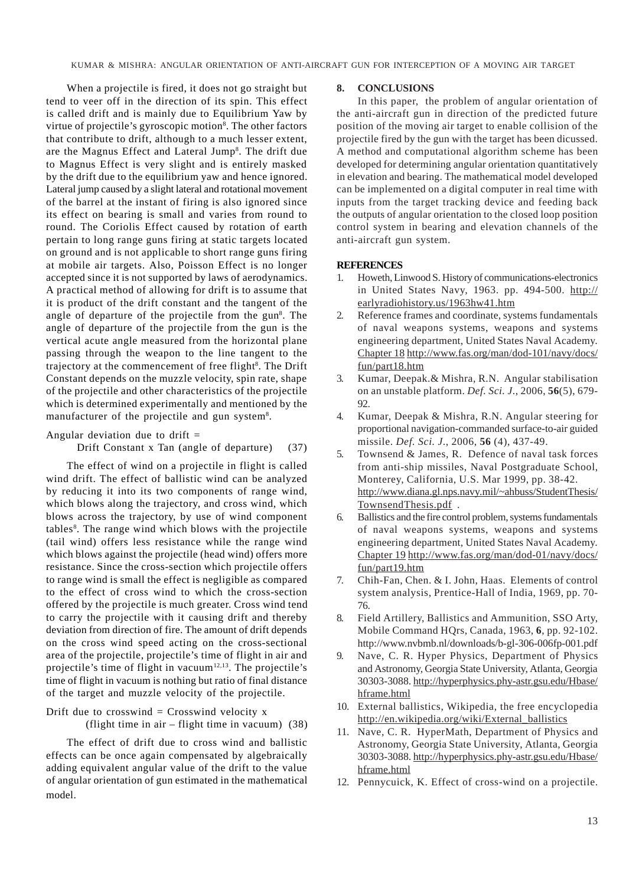When a projectile is fired, it does not go straight but tend to veer off in the direction of its spin. This effect is called drift and is mainly due to Equilibrium Yaw by virtue of projectile's gyroscopic motion<sup>8</sup>. The other factors that contribute to drift, although to a much lesser extent, are the Magnus Effect and Lateral Jump<sup>8</sup>. The drift due to Magnus Effect is very slight and is entirely masked by the drift due to the equilibrium yaw and hence ignored. Lateral jump caused by a slight lateral and rotational movement of the barrel at the instant of firing is also ignored since its effect on bearing is small and varies from round to round. The Coriolis Effect caused by rotation of earth pertain to long range guns firing at static targets located on ground and is not applicable to short range guns firing at mobile air targets. Also, Poisson Effect is no longer accepted since it is not supported by laws of aerodynamics. A practical method of allowing for drift is to assume that it is product of the drift constant and the tangent of the angle of departure of the projectile from the gun<sup>8</sup>. The angle of departure of the projectile from the gun is the vertical acute angle measured from the horizontal plane passing through the weapon to the line tangent to the trajectory at the commencement of free flight<sup>8</sup>. The Drift Constant depends on the muzzle velocity, spin rate, shape of the projectile and other characteristics of the projectile which is determined experimentally and mentioned by the manufacturer of the projectile and gun system<sup>8</sup>.

Angular deviation due to drift  $=$ 

#### Drift Constant x Tan (angle of departure) (37)

The effect of wind on a projectile in flight is called wind drift. The effect of ballistic wind can be analyzed by reducing it into its two components of range wind, which blows along the trajectory, and cross wind, which blows across the trajectory, by use of wind component tables<sup>8</sup>. The range wind which blows with the projectile (tail wind) offers less resistance while the range wind which blows against the projectile (head wind) offers more resistance. Since the cross-section which projectile offers to range wind is small the effect is negligible as compared to the effect of cross wind to which the cross-section offered by the projectile is much greater. Cross wind tend to carry the projectile with it causing drift and thereby deviation from direction of fire. The amount of drift depends on the cross wind speed acting on the cross-sectional area of the projectile, projectile's time of flight in air and projectile's time of flight in vacuum $12,13$ . The projectile's time of flight in vacuum is nothing but ratio of final distance of the target and muzzle velocity of the projectile.

# Drift due to crosswind  $=$  Crosswind velocity x (flight time in air – flight time in vacuum) (38)

The effect of drift due to cross wind and ballistic effects can be once again compensated by algebraically adding equivalent angular value of the drift to the value of angular orientation of gun estimated in the mathematical model.

#### **8. CONCLUSIONS**

In this paper, the problem of angular orientation of the anti-aircraft gun in direction of the predicted future position of the moving air target to enable collision of the projectile fired by the gun with the target has been dicussed. A method and computational algorithm scheme has been developed for determining angular orientation quantitatively in elevation and bearing. The mathematical model developed can be implemented on a digital computer in real time with inputs from the target tracking device and feeding back the outputs of angular orientation to the closed loop position control system in bearing and elevation channels of the anti-aircraft gun system.

#### **REFERENCES**

- 1. Howeth, Linwood S. History of communications-electronics in United States Navy, 1963. pp. 494-500. http:// earlyradiohistory.us/1963hw41.htm
- 2. Reference frames and coordinate, systems fundamentals of naval weapons systems, weapons and systems engineering department, United States Naval Academy. Chapter 18 http://www.fas.org/man/dod-101/navy/docs/ fun/part18.htm
- 3. Kumar, Deepak.& Mishra, R.N. Angular stabilisation on an unstable platform. *Def. Sci. J*., 2006, **56**(5), 679- 92.
- 4. Kumar, Deepak & Mishra, R.N. Angular steering for proportional navigation-commanded surface-to-air guided missile. *Def. Sci. J*., 2006, **56** (4), 437-49.
- 5. Townsend & James, R. Defence of naval task forces from anti-ship missiles, Naval Postgraduate School, Monterey, California, U.S. Mar 1999, pp. 38-42. http://www.diana.gl.nps.navy.mil/~ahbuss/StudentThesis/ TownsendThesis.pdf .
- 6. Ballistics and the fire control problem, systems fundamentals of naval weapons systems, weapons and systems engineering department, United States Naval Academy. Chapter 19 http://www.fas.org/man/dod-01/navy/docs/ fun/part19.htm
- 7. Chih-Fan, Chen. & I. John, Haas. Elements of control system analysis, Prentice-Hall of India, 1969, pp. 70- 76.
- 8. Field Artillery, Ballistics and Ammunition, SSO Arty, Mobile Command HQrs, Canada, 1963, **6**, pp. 92-102. http://www.nvbmb.nl/downloads/b-gl-306-006fp-001.pdf
- 9. Nave, C. R. Hyper Physics, Department of Physics and Astronomy, Georgia State University, Atlanta, Georgia 30303-3088. http://hyperphysics.phy-astr.gsu.edu/Hbase/ hframe.html
- 10. External ballistics, Wikipedia, the free encyclopedia http://en.wikipedia.org/wiki/External\_ballistics
- 11. Nave, C. R. HyperMath, Department of Physics and Astronomy, Georgia State University, Atlanta, Georgia 30303-3088. http://hyperphysics.phy-astr.gsu.edu/Hbase/ hframe.html
- 12. Pennycuick, K. Effect of cross-wind on a projectile.